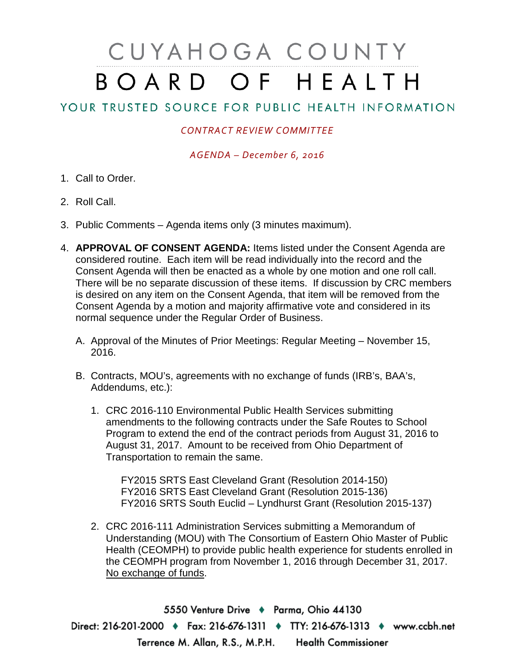## CUYAHOGA COUNTY BOARD OF HEALTH

## YOUR TRUSTED SOURCE FOR PUBLIC HEALTH INFORMATION

## *CONTRACT REVIEW COMMITTEE*

*AGENDA – December 6, 2016*

- 1. Call to Order.
- 2. Roll Call.
- 3. Public Comments Agenda items only (3 minutes maximum).
- 4. **APPROVAL OF CONSENT AGENDA:** Items listed under the Consent Agenda are considered routine. Each item will be read individually into the record and the Consent Agenda will then be enacted as a whole by one motion and one roll call. There will be no separate discussion of these items. If discussion by CRC members is desired on any item on the Consent Agenda, that item will be removed from the Consent Agenda by a motion and majority affirmative vote and considered in its normal sequence under the Regular Order of Business.
	- A. Approval of the Minutes of Prior Meetings: Regular Meeting November 15, 2016.
	- B. Contracts, MOU's, agreements with no exchange of funds (IRB's, BAA's, Addendums, etc.):
		- 1. CRC 2016-110 Environmental Public Health Services submitting amendments to the following contracts under the Safe Routes to School Program to extend the end of the contract periods from August 31, 2016 to August 31, 2017. Amount to be received from Ohio Department of Transportation to remain the same.

FY2015 SRTS East Cleveland Grant (Resolution 2014-150) FY2016 SRTS East Cleveland Grant (Resolution 2015-136) FY2016 SRTS South Euclid – Lyndhurst Grant (Resolution 2015-137)

2. CRC 2016-111 Administration Services submitting a Memorandum of Understanding (MOU) with The Consortium of Eastern Ohio Master of Public Health (CEOMPH) to provide public health experience for students enrolled in the CEOMPH program from November 1, 2016 through December 31, 2017. No exchange of funds.

5550 Venture Drive + Parma, Ohio 44130 Direct: 216-201-2000 • Fax: 216-676-1311 • TTY: 216-676-1313 • www.ccbh.net Terrence M. Allan, R.S., M.P.H. Health Commissioner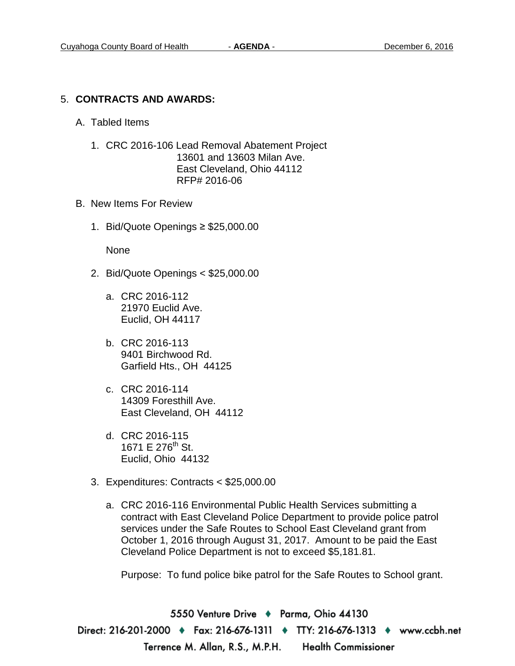## 5. **CONTRACTS AND AWARDS:**

- A. Tabled Items
	- 1. CRC 2016-106 Lead Removal Abatement Project 13601 and 13603 Milan Ave. East Cleveland, Ohio 44112 RFP# 2016-06
- B. New Items For Review
	- 1. Bid/Quote Openings ≥ \$25,000.00

None

- 2. Bid/Quote Openings < \$25,000.00
	- a. CRC 2016-112 21970 Euclid Ave. Euclid, OH 44117
	- b. CRC 2016-113 9401 Birchwood Rd. Garfield Hts., OH 44125
	- c. CRC 2016-114 14309 Foresthill Ave. East Cleveland, OH 44112
	- d. CRC 2016-115 1671 E 276<sup>th</sup> St. Euclid, Ohio 44132
- 3. Expenditures: Contracts < \$25,000.00
	- a. CRC 2016-116 Environmental Public Health Services submitting a contract with East Cleveland Police Department to provide police patrol services under the Safe Routes to School East Cleveland grant from October 1, 2016 through August 31, 2017. Amount to be paid the East Cleveland Police Department is not to exceed \$5,181.81.

Purpose: To fund police bike patrol for the Safe Routes to School grant.

5550 Venture Drive + Parma, Ohio 44130 Direct: 216-201-2000 ♦ Fax: 216-676-1311 ♦ TTY: 216-676-1313 ♦ www.ccbh.net Terrence M. Allan, R.S., M.P.H. Health Commissioner